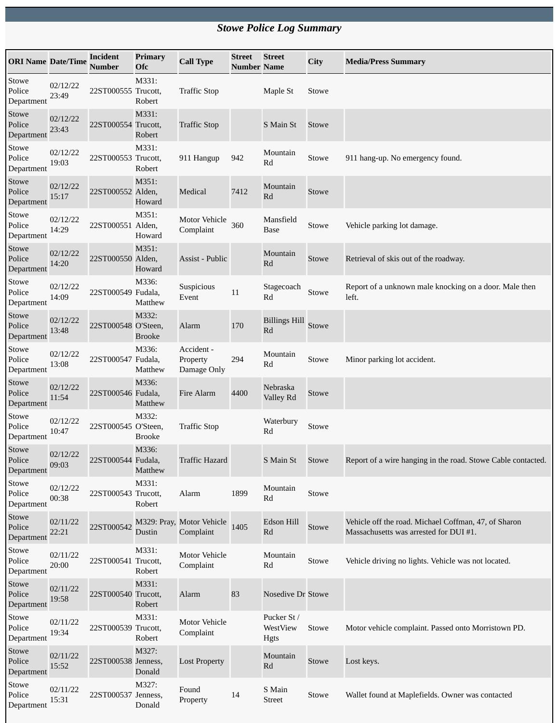## *Stowe Police Log Summary*

| <b>ORI Name Date/Time</b>            |                   | <b>Incident</b><br><b>Number</b> | <b>Primary</b><br><b>Ofc</b> | <b>Call Type</b>                       | <b>Street</b><br><b>Number Name</b> | <b>Street</b>                   | City  | <b>Media/Press Summary</b>                                                                     |
|--------------------------------------|-------------------|----------------------------------|------------------------------|----------------------------------------|-------------------------------------|---------------------------------|-------|------------------------------------------------------------------------------------------------|
| Stowe<br>Police<br>Department        | 02/12/22<br>23:49 | 22ST000555 Trucott,              | M331:<br>Robert              | <b>Traffic Stop</b>                    |                                     | Maple St                        | Stowe |                                                                                                |
| Stowe<br>Police<br>Department        | 02/12/22<br>23:43 | 22ST000554 Trucott,              | M331:<br>Robert              | <b>Traffic Stop</b>                    |                                     | S Main St                       | Stowe |                                                                                                |
| Stowe<br>Police<br>Department        | 02/12/22<br>19:03 | 22ST000553 Trucott,              | M331:<br>Robert              | 911 Hangup                             | 942                                 | Mountain<br>Rd                  | Stowe | 911 hang-up. No emergency found.                                                               |
| Stowe<br>Police<br>Department        | 02/12/22<br>15:17 | 22ST000552 Alden,                | M351:<br>Howard              | Medical                                | 7412                                | Mountain<br>Rd                  | Stowe |                                                                                                |
| Stowe<br>Police<br>Department        | 02/12/22<br>14:29 | 22ST000551 Alden,                | M351:<br>Howard              | Motor Vehicle<br>Complaint             | 360                                 | Mansfield<br>Base               | Stowe | Vehicle parking lot damage.                                                                    |
| Stowe<br>Police<br>Department        | 02/12/22<br>14:20 | 22ST000550 Alden,                | M351:<br>Howard              | Assist - Public                        |                                     | Mountain<br>Rd                  | Stowe | Retrieval of skis out of the roadway.                                                          |
| Stowe<br>Police<br>Department        | 02/12/22<br>14:09 | 22ST000549 Fudala,               | M336:<br>Matthew             | Suspicious<br>Event                    | $11\,$                              | Stagecoach<br>Rd                | Stowe | Report of a unknown male knocking on a door. Male then<br>left.                                |
| Stowe<br>Police<br>Department        | 02/12/22<br>13:48 | 22ST000548 O'Steen,              | M332:<br><b>Brooke</b>       | Alarm                                  | 170                                 | <b>Billings Hill</b><br>Rd      | Stowe |                                                                                                |
| Stowe<br>Police<br>Department        | 02/12/22<br>13:08 | 22ST000547 Fudala,               | M336:<br>Matthew             | Accident -<br>Property<br>Damage Only  | 294                                 | Mountain<br>Rd                  | Stowe | Minor parking lot accident.                                                                    |
| Stowe<br>Police<br>Department        | 02/12/22<br>11:54 | 22ST000546 Fudala,               | M336:<br>Matthew             | Fire Alarm                             | 4400                                | Nebraska<br>Valley Rd           | Stowe |                                                                                                |
| Stowe<br>Police<br>Department        | 02/12/22<br>10:47 | 22ST000545 O'Steen,              | M332:<br><b>Brooke</b>       | <b>Traffic Stop</b>                    |                                     | Waterbury<br>Rd                 | Stowe |                                                                                                |
| <b>Stowe</b><br>Police<br>Department | 02/12/22<br>09:03 | 22ST000544 Fudala,               | M336:<br>Matthew             | <b>Traffic Hazard</b>                  |                                     | S Main St                       | Stowe | Report of a wire hanging in the road. Stowe Cable contacted.                                   |
| Stowe<br>Police<br>Department        | 02/12/22<br>00:38 | 22ST000543 Trucott,              | M331:<br>Robert              | Alarm                                  | 1899                                | Mountain<br>Rd                  | Stowe |                                                                                                |
| Stowe<br>Police<br>Department        | 02/11/22<br>22:21 | 22ST000542                       | Dustin                       | M329: Pray, Motor Vehicle<br>Complaint | 1405                                | <b>Edson Hill</b><br>Rd         | Stowe | Vehicle off the road. Michael Coffman, 47, of Sharon<br>Massachusetts was arrested for DUI #1. |
| Stowe<br>Police<br>Department        | 02/11/22<br>20:00 | 22ST000541 Trucott,              | M331:<br>Robert              | <b>Motor Vehicle</b><br>Complaint      |                                     | Mountain<br>Rd                  | Stowe | Vehicle driving no lights. Vehicle was not located.                                            |
| Stowe<br>Police<br>Department        | 02/11/22<br>19:58 | 22ST000540 Trucott,              | M331:<br>Robert              | Alarm                                  | 83                                  | Nosedive Dr Stowe               |       |                                                                                                |
| Stowe<br>Police<br>Department        | 02/11/22<br>19:34 | 22ST000539 Trucott,              | M331:<br>Robert              | Motor Vehicle<br>Complaint             |                                     | Pucker St /<br>WestView<br>Hgts | Stowe | Motor vehicle complaint. Passed onto Morristown PD.                                            |
| Stowe<br>Police<br>Department        | 02/11/22<br>15:52 | 22ST000538 Jenness,              | M327:<br>Donald              | <b>Lost Property</b>                   |                                     | Mountain<br>Rd                  | Stowe | Lost keys.                                                                                     |
| Stowe<br>Police<br>Department        | 02/11/22<br>15:31 | 22ST000537 Jenness,              | M327:<br>Donald              | Found<br>Property                      | 14                                  | S Main<br>Street                | Stowe | Wallet found at Maplefields. Owner was contacted                                               |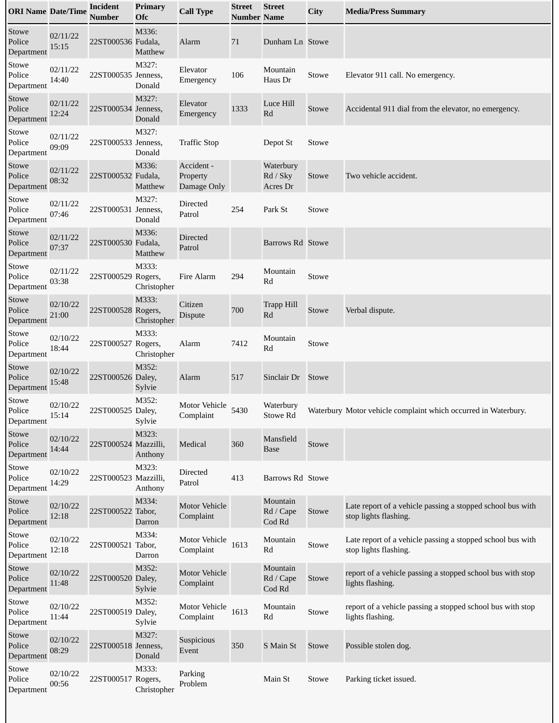| <b>ORI Name Date/Time</b>     |                   | <b>Incident</b><br>Number | <b>Primary</b><br>Ofc | <b>Call Type</b>                      | Street<br><b>Number Name</b> | <b>Street</b>                     | City  | <b>Media/Press Summary</b>                                                          |
|-------------------------------|-------------------|---------------------------|-----------------------|---------------------------------------|------------------------------|-----------------------------------|-------|-------------------------------------------------------------------------------------|
| Stowe<br>Police<br>Department | 02/11/22<br>15:15 | 22ST000536 Fudala,        | M336:<br>Matthew      | Alarm                                 | 71                           | Dunham Ln Stowe                   |       |                                                                                     |
| Stowe<br>Police<br>Department | 02/11/22<br>14:40 | 22ST000535 Jenness,       | M327:<br>Donald       | Elevator<br>Emergency                 | 106                          | Mountain<br>Haus Dr               | Stowe | Elevator 911 call. No emergency.                                                    |
| Stowe<br>Police<br>Department | 02/11/22<br>12:24 | 22ST000534 Jenness,       | M327:<br>Donald       | Elevator<br>Emergency                 | 1333                         | Luce Hill<br>Rd                   | Stowe | Accidental 911 dial from the elevator, no emergency.                                |
| Stowe<br>Police<br>Department | 02/11/22<br>09:09 | 22ST000533 Jenness,       | M327:<br>Donald       | <b>Traffic Stop</b>                   |                              | Depot St                          | Stowe |                                                                                     |
| Stowe<br>Police<br>Department | 02/11/22<br>08:32 | 22ST000532 Fudala,        | M336:<br>Matthew      | Accident -<br>Property<br>Damage Only |                              | Waterbury<br>Rd / Sky<br>Acres Dr | Stowe | Two vehicle accident.                                                               |
| Stowe<br>Police<br>Department | 02/11/22<br>07:46 | 22ST000531 Jenness,       | M327:<br>Donald       | Directed<br>Patrol                    | 254                          | Park St                           | Stowe |                                                                                     |
| Stowe<br>Police<br>Department | 02/11/22<br>07:37 | 22ST000530 Fudala,        | M336:<br>Matthew      | <b>Directed</b><br>Patrol             |                              | Barrows Rd Stowe                  |       |                                                                                     |
| Stowe<br>Police<br>Department | 02/11/22<br>03:38 | 22ST000529 Rogers,        | M333:<br>Christopher  | Fire Alarm                            | 294                          | Mountain<br>Rd                    | Stowe |                                                                                     |
| Stowe<br>Police<br>Department | 02/10/22<br>21:00 | 22ST000528 Rogers,        | M333:<br>Christopher  | Citizen<br><b>Dispute</b>             | 700                          | <b>Trapp Hill</b><br>Rd           | Stowe | Verbal dispute.                                                                     |
| Stowe<br>Police<br>Department | 02/10/22<br>18:44 | 22ST000527 Rogers,        | M333:<br>Christopher  | Alarm                                 | 7412                         | Mountain<br>Rd                    | Stowe |                                                                                     |
| Stowe<br>Police<br>Department | 02/10/22<br>15:48 | 22ST000526 Daley,         | M352:<br>Sylvie       | Alarm                                 | 517                          | Sinclair Dr                       | Stowe |                                                                                     |
| Stowe<br>Police<br>Department | 02/10/22<br>15:14 | 22ST000525 Daley,         | M352:<br>Sylvie       | Motor Vehicle<br>Complaint            | 5430                         | Waterbury<br>Stowe Rd             |       | Waterbury Motor vehicle complaint which occurred in Waterbury.                      |
| Stowe<br>Police<br>Department | 02/10/22<br>14:44 | 22ST000524 Mazzilli,      | M323:<br>Anthony      | Medical                               | 360                          | Mansfield<br><b>Base</b>          | Stowe |                                                                                     |
| Stowe<br>Police<br>Department | 02/10/22<br>14:29 | 22ST000523 Mazzilli,      | M323:<br>Anthony      | Directed<br>Patrol                    | 413                          | Barrows Rd Stowe                  |       |                                                                                     |
| Stowe<br>Police<br>Department | 02/10/22<br>12:18 | 22ST000522 Tabor,         | M334:<br>Darron       | <b>Motor Vehicle</b><br>Complaint     |                              | Mountain<br>Rd / Cape<br>Cod Rd   | Stowe | Late report of a vehicle passing a stopped school bus with<br>stop lights flashing. |
| Stowe<br>Police<br>Department | 02/10/22<br>12:18 | 22ST000521 Tabor,         | M334:<br>Darron       | Motor Vehicle<br>Complaint            | 1613                         | Mountain<br>Rd                    | Stowe | Late report of a vehicle passing a stopped school bus with<br>stop lights flashing. |
| Stowe<br>Police<br>Department | 02/10/22<br>11:48 | 22ST000520 Daley,         | M352:<br>Sylvie       | <b>Motor Vehicle</b><br>Complaint     |                              | Mountain<br>Rd / Cape<br>Cod Rd   | Stowe | report of a vehicle passing a stopped school bus with stop<br>lights flashing.      |
| Stowe<br>Police<br>Department | 02/10/22<br>11:44 | 22ST000519 Daley,         | M352:<br>Sylvie       | Motor Vehicle<br>Complaint            | 1613                         | Mountain<br>Rd                    | Stowe | report of a vehicle passing a stopped school bus with stop<br>lights flashing.      |
| Stowe<br>Police<br>Department | 02/10/22<br>08:29 | 22ST000518 Jenness,       | M327:<br>Donald       | Suspicious<br>Event                   | 350                          | S Main St                         | Stowe | Possible stolen dog.                                                                |
| Stowe<br>Police<br>Department | 02/10/22<br>00:56 | 22ST000517 Rogers,        | M333:<br>Christopher  | Parking<br>Problem                    |                              | Main St                           | Stowe | Parking ticket issued.                                                              |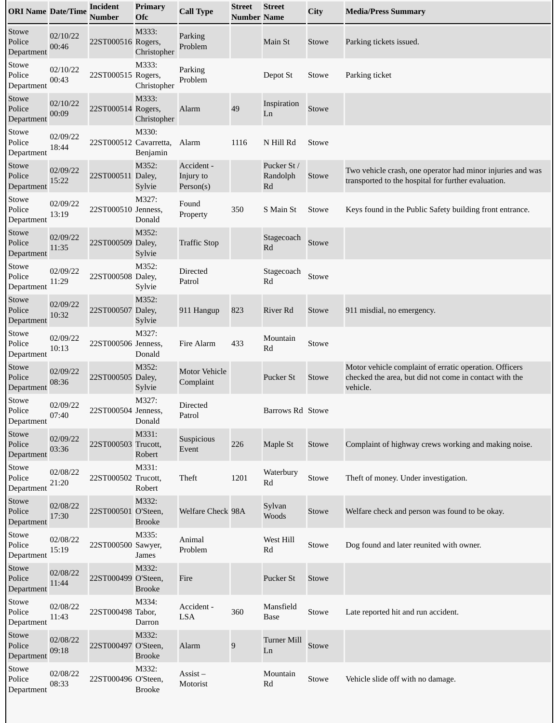| <b>ORI Name Date/Time</b>     |                   | <b>Incident</b><br><b>Number</b> | <b>Primary</b><br>Ofc  | <b>Call Type</b>                     | <b>Street</b><br><b>Number Name</b> | <b>Street</b>                 | City  | <b>Media/Press Summary</b>                                                                                                   |
|-------------------------------|-------------------|----------------------------------|------------------------|--------------------------------------|-------------------------------------|-------------------------------|-------|------------------------------------------------------------------------------------------------------------------------------|
| Stowe<br>Police<br>Department | 02/10/22<br>00:46 | 22ST000516 Rogers,               | M333:<br>Christopher   | Parking<br>Problem                   |                                     | Main St                       | Stowe | Parking tickets issued.                                                                                                      |
| Stowe<br>Police<br>Department | 02/10/22<br>00:43 | 22ST000515 Rogers,               | M333:<br>Christopher   | Parking<br>Problem                   |                                     | Depot St                      | Stowe | Parking ticket                                                                                                               |
| Stowe<br>Police<br>Department | 02/10/22<br>00:09 | 22ST000514 Rogers,               | M333:<br>Christopher   | Alarm                                | 49                                  | Inspiration<br>Ln             | Stowe |                                                                                                                              |
| Stowe<br>Police<br>Department | 02/09/22<br>18:44 | 22ST000512 Cavarretta,           | M330:<br>Benjamin      | Alarm                                | 1116                                | N Hill Rd                     | Stowe |                                                                                                                              |
| Stowe<br>Police<br>Department | 02/09/22<br>15:22 | 22ST000511 Daley,                | M352:<br>Sylvie        | Accident -<br>Injury to<br>Person(s) |                                     | Pucker St /<br>Randolph<br>Rd | Stowe | Two vehicle crash, one operator had minor injuries and was<br>transported to the hospital for further evaluation.            |
| Stowe<br>Police<br>Department | 02/09/22<br>13:19 | 22ST000510 Jenness,              | M327:<br>Donald        | Found<br>Property                    | 350                                 | S Main St                     | Stowe | Keys found in the Public Safety building front entrance.                                                                     |
| Stowe<br>Police<br>Department | 02/09/22<br>11:35 | 22ST000509 Daley,                | M352:<br>Sylvie        | <b>Traffic Stop</b>                  |                                     | Stagecoach<br>Rd              | Stowe |                                                                                                                              |
| Stowe<br>Police<br>Department | 02/09/22<br>11:29 | 22ST000508 Daley,                | M352:<br>Sylvie        | Directed<br>Patrol                   |                                     | Stagecoach<br>Rd              | Stowe |                                                                                                                              |
| Stowe<br>Police<br>Department | 02/09/22<br>10:32 | 22ST000507 Daley,                | M352:<br>Sylvie        | 911 Hangup                           | 823                                 | <b>River Rd</b>               | Stowe | 911 misdial, no emergency.                                                                                                   |
| Stowe<br>Police<br>Department | 02/09/22<br>10:13 | 22ST000506 Jenness,              | M327:<br>Donald        | Fire Alarm                           | 433                                 | Mountain<br>Rd                | Stowe |                                                                                                                              |
| Stowe<br>Police<br>Department | 02/09/22<br>08:36 | 22ST000505 Daley,                | M352:<br>Sylvie        | <b>Motor Vehicle</b><br>Complaint    |                                     | Pucker St                     | Stowe | Motor vehicle complaint of erratic operation. Officers<br>checked the area, but did not come in contact with the<br>vehicle. |
| Stowe<br>Police<br>Department | 02/09/22<br>07:40 | 22ST000504 Jenness,              | M327:<br>Donald        | Directed<br>Patrol                   |                                     | Barrows Rd Stowe              |       |                                                                                                                              |
| Stowe<br>Police<br>Department | 02/09/22<br>03:36 | 22ST000503 Trucott,              | M331:<br>Robert        | Suspicious<br>Event                  | 226                                 | Maple St                      | Stowe | Complaint of highway crews working and making noise.                                                                         |
| Stowe<br>Police<br>Department | 02/08/22<br>21:20 | 22ST000502 Trucott,              | M331:<br>Robert        | Theft                                | 1201                                | Waterbury<br>Rd               | Stowe | Theft of money. Under investigation.                                                                                         |
| Stowe<br>Police<br>Department | 02/08/22<br>17:30 | 22ST000501 O'Steen,              | M332:<br><b>Brooke</b> | Welfare Check 98A                    |                                     | Sylvan<br>Woods               | Stowe | Welfare check and person was found to be okay.                                                                               |
| Stowe<br>Police<br>Department | 02/08/22<br>15:19 | 22ST000500 Sawyer,               | M335:<br>James         | Animal<br>Problem                    |                                     | West Hill<br>Rd               | Stowe | Dog found and later reunited with owner.                                                                                     |
| Stowe<br>Police<br>Department | 02/08/22<br>11:44 | 22ST000499 O'Steen,              | M332:<br><b>Brooke</b> | Fire                                 |                                     | Pucker St                     | Stowe |                                                                                                                              |
| Stowe<br>Police<br>Department | 02/08/22<br>11:43 | 22ST000498 Tabor,                | M334:<br>Darron        | Accident -<br>LSA                    | 360                                 | Mansfield<br><b>Base</b>      | Stowe | Late reported hit and run accident.                                                                                          |
| Stowe<br>Police<br>Department | 02/08/22<br>09:18 | 22ST000497 O'Steen,              | M332:<br><b>Brooke</b> | Alarm                                | 9                                   | <b>Turner Mill</b><br>Ln      | Stowe |                                                                                                                              |
| Stowe<br>Police<br>Department | 02/08/22<br>08:33 | 22ST000496 O'Steen,              | M332:<br><b>Brooke</b> | $\overline{Assist}$ –<br>Motorist    |                                     | Mountain<br>Rd                | Stowe | Vehicle slide off with no damage.                                                                                            |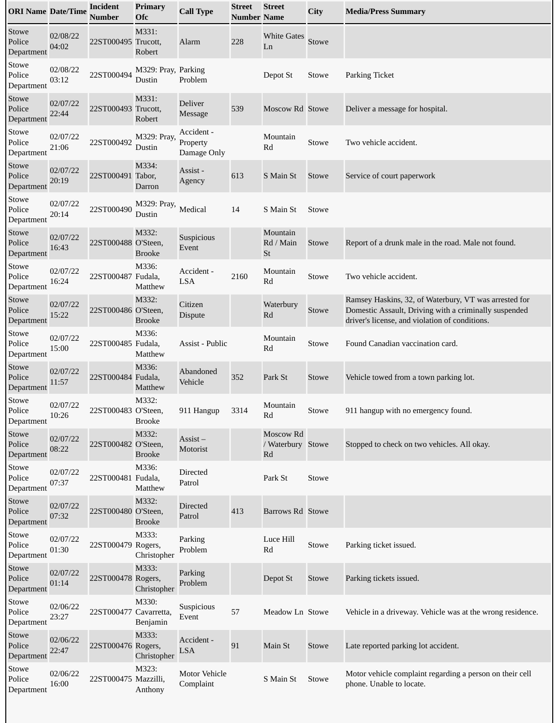| <b>ORI Name Date/Time</b>     |                   | <b>Incident</b><br>Number | <b>Primary</b><br><b>Ofc</b>  | <b>Call Type</b>                      | <b>Street</b><br><b>Number Name</b> | <b>Street</b>                        | City         | <b>Media/Press Summary</b>                                                                                                                                       |
|-------------------------------|-------------------|---------------------------|-------------------------------|---------------------------------------|-------------------------------------|--------------------------------------|--------------|------------------------------------------------------------------------------------------------------------------------------------------------------------------|
| Stowe<br>Police<br>Department | 02/08/22<br>04:02 | 22ST000495 Trucott,       | M331:<br>Robert               | Alarm                                 | 228                                 | <b>White Gates</b><br>Ln             | Stowe        |                                                                                                                                                                  |
| Stowe<br>Police<br>Department | 02/08/22<br>03:12 | 22ST000494                | M329: Pray, Parking<br>Dustin | Problem                               |                                     | Depot St                             | Stowe        | Parking Ticket                                                                                                                                                   |
| Stowe<br>Police<br>Department | 02/07/22<br>22:44 | 22ST000493 Trucott,       | M331:<br>Robert               | <b>Deliver</b><br><b>Message</b>      | 539                                 | Moscow Rd Stowe                      |              | Deliver a message for hospital.                                                                                                                                  |
| Stowe<br>Police<br>Department | 02/07/22<br>21:06 | 22ST000492                | M329: Pray,<br>Dustin         | Accident -<br>Property<br>Damage Only |                                     | Mountain<br>Rd                       | Stowe        | Two vehicle accident.                                                                                                                                            |
| Stowe<br>Police<br>Department | 02/07/22<br>20:19 | 22ST000491 Tabor,         | M334:<br>Darron               | Assist -<br>Agency                    | 613                                 | S Main St                            | <b>Stowe</b> | Service of court paperwork                                                                                                                                       |
| Stowe<br>Police<br>Department | 02/07/22<br>20:14 | 22ST000490                | M329: Pray,<br>Dustin         | Medical                               | 14                                  | S Main St                            | Stowe        |                                                                                                                                                                  |
| Stowe<br>Police<br>Department | 02/07/22<br>16:43 | 22ST000488 O'Steen,       | M332:<br><b>Brooke</b>        | Suspicious<br>Event                   |                                     | Mountain<br>Rd / Main<br>St          | Stowe        | Report of a drunk male in the road. Male not found.                                                                                                              |
| Stowe<br>Police<br>Department | 02/07/22<br>16:24 | 22ST000487 Fudala,        | M336:<br>Matthew              | Accident -<br><b>LSA</b>              | 2160                                | Mountain<br>Rd                       | Stowe        | Two vehicle accident.                                                                                                                                            |
| Stowe<br>Police<br>Department | 02/07/22<br>15:22 | 22ST000486 O'Steen,       | M332:<br><b>Brooke</b>        | Citizen<br><b>Dispute</b>             |                                     | Waterbury<br>Rd                      | Stowe        | Ramsey Haskins, 32, of Waterbury, VT was arrested for<br>Domestic Assault, Driving with a criminally suspended<br>driver's license, and violation of conditions. |
| Stowe<br>Police<br>Department | 02/07/22<br>15:00 | 22ST000485 Fudala,        | M336:<br>Matthew              | Assist - Public                       |                                     | Mountain<br>Rd                       | Stowe        | Found Canadian vaccination card.                                                                                                                                 |
| Stowe<br>Police<br>Department | 02/07/22<br>11:57 | 22ST000484 Fudala,        | M336:<br>Matthew              | Abandoned<br>Vehicle                  | 352                                 | Park St                              | Stowe        | Vehicle towed from a town parking lot.                                                                                                                           |
| Stowe<br>Police<br>Department | 02/07/22<br>10:26 | 22ST000483 O'Steen,       | M332:<br><b>Brooke</b>        | 911 Hangup                            | 3314                                | Mountain<br>$\mathbf{R}\mathbf{d}$   | Stowe        | 911 hangup with no emergency found.                                                                                                                              |
| Stowe<br>Police<br>Department | 02/07/22<br>08:22 | 22ST000482 O'Steen,       | M332:<br><b>Brooke</b>        | $\overline{A}$ ssist –<br>Motorist    |                                     | Moscow Rd<br>/ Waterbury Stowe<br>Rd |              | Stopped to check on two vehicles. All okay.                                                                                                                      |
| Stowe<br>Police<br>Department | 02/07/22<br>07:37 | 22ST000481 Fudala,        | M336:<br>Matthew              | Directed<br>Patrol                    |                                     | Park St                              | Stowe        |                                                                                                                                                                  |
| Stowe<br>Police<br>Department | 02/07/22<br>07:32 | 22ST000480 O'Steen,       | M332:<br><b>Brooke</b>        | <b>Directed</b><br>Patrol             | 413                                 | Barrows Rd Stowe                     |              |                                                                                                                                                                  |
| Stowe<br>Police<br>Department | 02/07/22<br>01:30 | 22ST000479 Rogers,        | M333:<br>Christopher          | Parking<br>Problem                    |                                     | Luce Hill<br>Rd                      | Stowe        | Parking ticket issued.                                                                                                                                           |
| Stowe<br>Police<br>Department | 02/07/22<br>01:14 | 22ST000478 Rogers,        | M333:<br>Christopher          | Parking<br>Problem                    |                                     | Depot St                             | Stowe        | Parking tickets issued.                                                                                                                                          |
| Stowe<br>Police<br>Department | 02/06/22<br>23:27 | 22ST000477 Cavarretta,    | M330:<br>Benjamin             | Suspicious<br>Event                   | 57                                  | Meadow Ln Stowe                      |              | Vehicle in a driveway. Vehicle was at the wrong residence.                                                                                                       |
| Stowe<br>Police<br>Department | 02/06/22<br>22:47 | 22ST000476 Rogers,        | M333:<br>Christopher          | Accident -<br><b>LSA</b>              | 91                                  | Main St                              | Stowe        | Late reported parking lot accident.                                                                                                                              |
| Stowe<br>Police<br>Department | 02/06/22<br>16:00 | 22ST000475 Mazzilli,      | M323:<br>Anthony              | Motor Vehicle<br>Complaint            |                                     | S Main St                            | Stowe        | Motor vehicle complaint regarding a person on their cell<br>phone. Unable to locate.                                                                             |